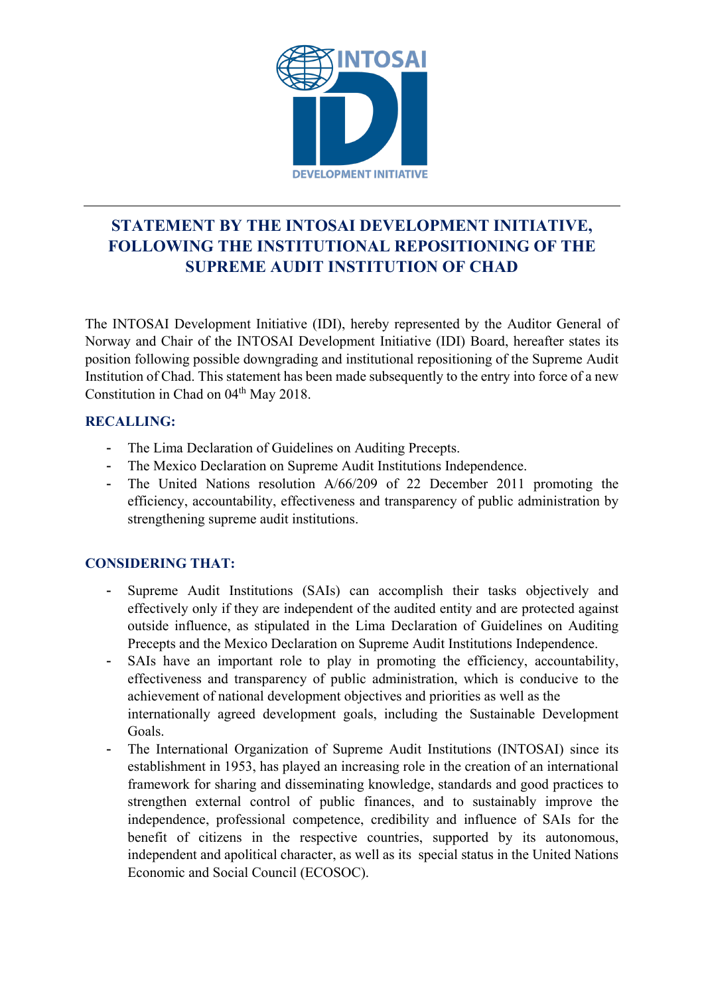

# **STATEMENT BY THE INTOSAI DEVELOPMENT INITIATIVE, FOLLOWING THE INSTITUTIONAL REPOSITIONING OF THE SUPREME AUDIT INSTITUTION OF CHAD**

The INTOSAI Development Initiative (IDI), hereby represented by the Auditor General of Norway and Chair of the INTOSAI Development Initiative (IDI) Board, hereafter states its position following possible downgrading and institutional repositioning of the Supreme Audit Institution of Chad. This statement has been made subsequently to the entry into force of a new Constitution in Chad on 04<sup>th</sup> May 2018.

## **RECALLING:**

- The Lima Declaration of Guidelines on Auditing Precepts.
- The Mexico Declaration on Supreme Audit Institutions Independence.
- The United Nations resolution A/66/209 of 22 December 2011 promoting the efficiency, accountability, effectiveness and transparency of public administration by strengthening supreme audit institutions.

## **CONSIDERING THAT:**

- Supreme Audit Institutions (SAIs) can accomplish their tasks objectively and effectively only if they are independent of the audited entity and are protected against outside influence, as stipulated in the Lima Declaration of Guidelines on Auditing Precepts and the Mexico Declaration on Supreme Audit Institutions Independence.
- SAIs have an important role to play in promoting the efficiency, accountability, effectiveness and transparency of public administration, which is conducive to the achievement of national development objectives and priorities as well as the internationally agreed development goals, including the Sustainable Development Goals.
- The International Organization of Supreme Audit Institutions (INTOSAI) since its establishment in 1953, has played an increasing role in the creation of an international framework for sharing and disseminating knowledge, standards and good practices to strengthen external control of public finances, and to sustainably improve the independence, professional competence, credibility and influence of SAIs for the benefit of citizens in the respective countries, supported by its autonomous, independent and apolitical character, as well as its special status in the United Nations Economic and Social Council (ECOSOC).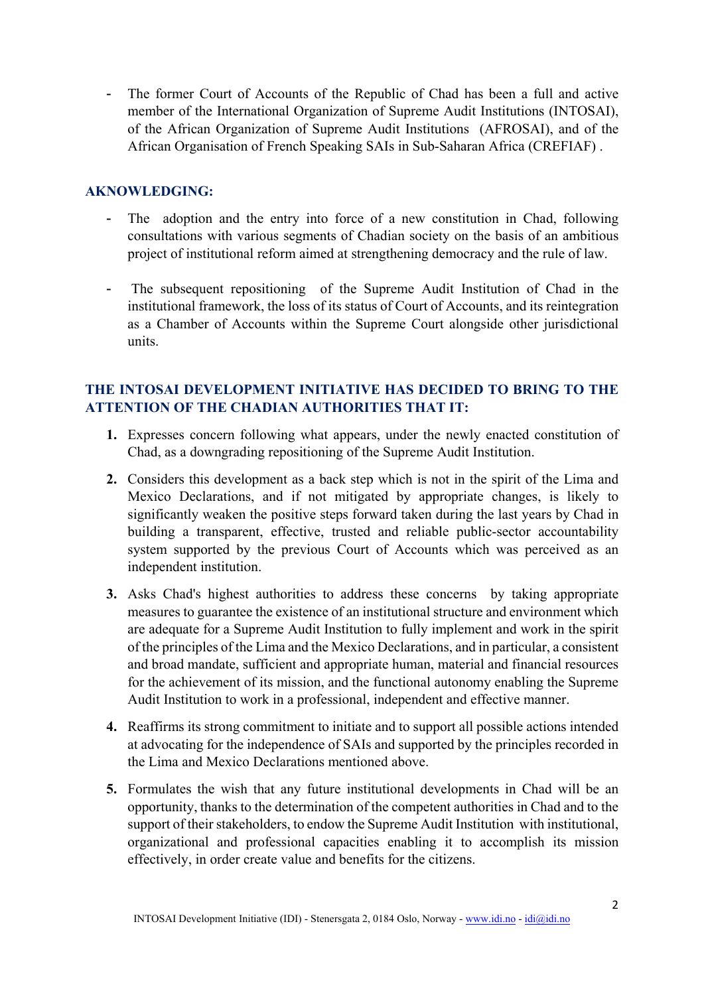- The former Court of Accounts of the Republic of Chad has been a full and active member of the International Organization of Supreme Audit Institutions (INTOSAI), of the African Organization of Supreme Audit Institutions (AFROSAI), and of the African Organisation of French Speaking SAIs in Sub-Saharan Africa (CREFIAF) .

### **AKNOWLEDGING:**

- The adoption and the entry into force of a new constitution in Chad, following consultations with various segments of Chadian society on the basis of an ambitious project of institutional reform aimed at strengthening democracy and the rule of law.
- The subsequent repositioning of the Supreme Audit Institution of Chad in the institutional framework, the loss of its status of Court of Accounts, and its reintegration as a Chamber of Accounts within the Supreme Court alongside other jurisdictional units.

### **THE INTOSAI DEVELOPMENT INITIATIVE HAS DECIDED TO BRING TO THE ATTENTION OF THE CHADIAN AUTHORITIES THAT IT:**

- **1.** Expresses concern following what appears, under the newly enacted constitution of Chad, as a downgrading repositioning of the Supreme Audit Institution.
- **2.** Considers this development as a back step which is not in the spirit of the Lima and Mexico Declarations, and if not mitigated by appropriate changes, is likely to significantly weaken the positive steps forward taken during the last years by Chad in building a transparent, effective, trusted and reliable public-sector accountability system supported by the previous Court of Accounts which was perceived as an independent institution.
- **3.** Asks Chad's highest authorities to address these concerns by taking appropriate measures to guarantee the existence of an institutional structure and environment which are adequate for a Supreme Audit Institution to fully implement and work in the spirit of the principles of the Lima and the Mexico Declarations, and in particular, a consistent and broad mandate, sufficient and appropriate human, material and financial resources for the achievement of its mission, and the functional autonomy enabling the Supreme Audit Institution to work in a professional, independent and effective manner.
- **4.** Reaffirms its strong commitment to initiate and to support all possible actions intended at advocating for the independence of SAIs and supported by the principles recorded in the Lima and Mexico Declarations mentioned above.
- **5.** Formulates the wish that any future institutional developments in Chad will be an opportunity, thanks to the determination of the competent authorities in Chad and to the support of their stakeholders, to endow the Supreme Audit Institution with institutional, organizational and professional capacities enabling it to accomplish its mission effectively, in order create value and benefits for the citizens.